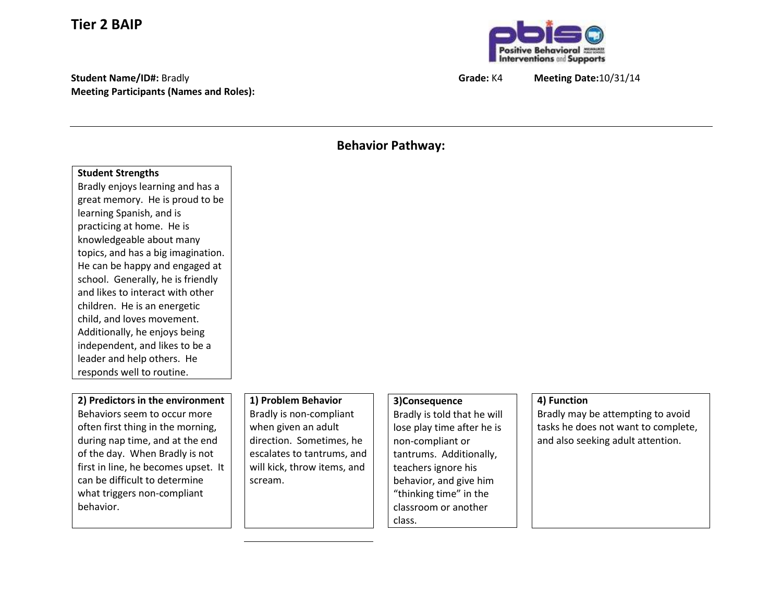# **Tier 2 BAIP**

**Student Name/ID#:** Bradly **Grade:** K4 **Meeting Date:**10/31/14 **Meeting Participants (Names and Roles):**



#### **Behavior Pathway:**

#### **Student Strengths**

Bradly enjoys learning and has a great memory. He is proud to be learning Spanish, and is practicing at home. He is knowledgeable about many topics, and has a big imagination. He can be happy and engaged at school. Generally, he is friendly and likes to interact with other children. He is an energetic child, and loves movement. Additionally, he enjoys being independent, and likes to be a leader and help others. He responds well to routine.

#### **2) Predictors in the environment** Behaviors seem to occur more often first thing in the morning, during nap time, and at the end of the day. When Bradly is not first in line, he becomes upset. It can be difficult to determine what triggers non-compliant behavior.

# **1) Problem Behavior**

Bradly is non-compliant when given an adult direction. Sometimes, he escalates to tantrums, and will kick, throw items, and scream.

## **3)Consequence**

Bradly is told that he will lose play time after he is non-compliant or tantrums. Additionally, teachers ignore his behavior, and give him "thinking time" in the classroom or another class.

## **4) Function**

Bradly may be attempting to avoid tasks he does not want to complete, and also seeking adult attention.

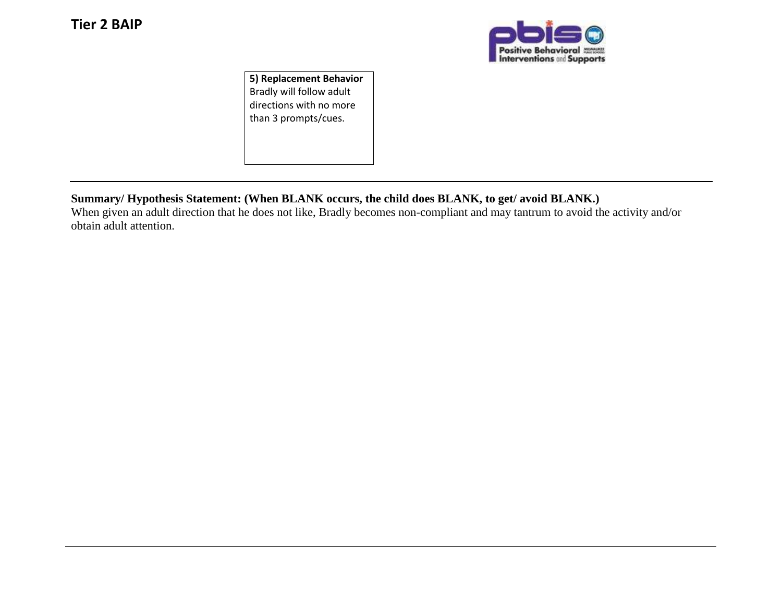

**5) Replacement Behavior** Bradly will follow adult directions with no more than 3 prompts/cues.

## **Summary/ Hypothesis Statement: (When BLANK occurs, the child does BLANK, to get/ avoid BLANK.)**

When given an adult direction that he does not like, Bradly becomes non-compliant and may tantrum to avoid the activity and/or obtain adult attention.